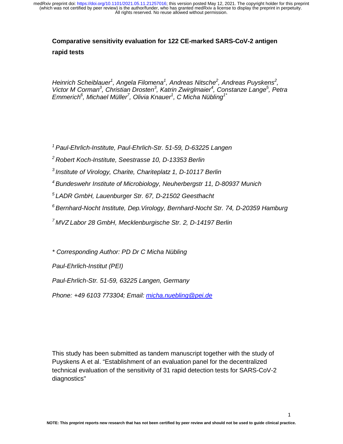# **Comparative sensitivity evaluation for 122 CE-marked SARS-CoV-2 antigen rapid tests**

*Heinrich Scheiblauer<sup>1</sup>, Angela Filomena<sup>1</sup>, Andreas Nitsche<sup>2</sup>, Andreas Puyskens<sup>2</sup>,* Victor M Corman<sup>3</sup>, Christian Drosten<sup>3</sup>, Katrin Zwirglmaier<sup>4</sup>, Constanze Lange<sup>5</sup>, Petra *Emmerich6 , Michael Müller<sup>7</sup> , Olivia Knauer<sup>1</sup> , C Micha Nübling1\**

*1 Paul-Ehrlich-Institute, Paul-Ehrlich-Str. 51-59, D-63225 Langen* 

*2 Robert Koch-Institute, Seestrasse 10, D-13353 Berlin*

*3 Institute of Virology, Charite, Chariteplatz 1, D-10117 Berlin* 

*4 Bundeswehr Institute of Microbiology, Neuherbergstr 11, D-80937 Munich* 

*5 LADR GmbH, Lauenburger Str. 67, D-21502 Geesthacht* 

*6 Bernhard-Nocht Institute, Dep.Virology, Bernhard-Nocht Str. 74, D-20359 Hamburg* 

*7 MVZ Labor 28 GmbH, Mecklenburgische Str. 2, D-14197 Berlin* 

*\* Corresponding Author: PD Dr C Micha Nübling* 

*Paul-Ehrlich-Institut (PEI)* 

*Paul-Ehrlich-Str. 51-59, 63225 Langen, Germany* 

*Phone: +49 6103 773304; Email: micha.nuebling@pei.de*

This study has been submitted as tandem manuscript together with the study of Puyskens A et al. "Establishment of an evaluation panel for the decentralized technical evaluation of the sensitivity of 31 rapid detection tests for SARS-CoV-2 diagnostics"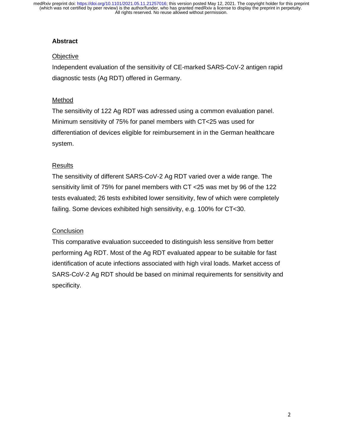## **Abstract**

## **Objective**

Independent evaluation of the sensitivity of CE-marked SARS-CoV-2 antigen rapid diagnostic tests (Ag RDT) offered in Germany.

## Method

The sensitivity of 122 Ag RDT was adressed using a common evaluation panel. Minimum sensitivity of 75% for panel members with CT<25 was used for differentiation of devices eligible for reimbursement in in the German healthcare system.

## Results

The sensitivity of different SARS-CoV-2 Ag RDT varied over a wide range. The sensitivity limit of 75% for panel members with CT <25 was met by 96 of the 122 tests evaluated; 26 tests exhibited lower sensitivity, few of which were completely failing. Some devices exhibited high sensitivity, e.g. 100% for CT<30.

## **Conclusion**

This comparative evaluation succeeded to distinguish less sensitive from better performing Ag RDT. Most of the Ag RDT evaluated appear to be suitable for fast identification of acute infections associated with high viral loads. Market access of SARS-CoV-2 Ag RDT should be based on minimal requirements for sensitivity and specificity.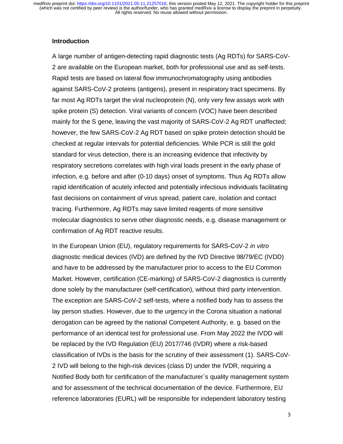## **Introduction**

A large number of antigen-detecting rapid diagnostic tests (Ag RDTs) for SARS-CoV-2 are available on the European market, both for professional use and as self-tests. Rapid tests are based on lateral flow immunochromatography using antibodies against SARS-CoV-2 proteins (antigens), present in respiratory tract specimens. By far most Ag RDTs target the viral nucleoprotein (N), only very few assays work with spike protein (S) detection. Viral variants of concern (VOC) have been described mainly for the S gene, leaving the vast majority of SARS-CoV-2 Ag RDT unaffected; however, the few SARS-CoV-2 Ag RDT based on spike protein detection should be checked at regular intervals for potential deficiencies. While PCR is still the gold standard for virus detection, there is an increasing evidence that infectivity by respiratory secretions correlates with high viral loads present in the early phase of infection, e.g. before and after (0-10 days) onset of symptoms. Thus Ag RDTs allow rapid identification of acutely infected and potentially infectious individuals facilitating fast decisions on containment of virus spread, patient care, isolation and contact tracing. Furthermore, Ag RDTs may save limited reagents of more sensitive molecular diagnostics to serve other diagnostic needs, e.g. disease management or confirmation of Ag RDT reactive results.

In the European Union (EU), regulatory requirements for SARS-CoV-2 *in vitro* diagnostic medical devices (IVD) are defined by the IVD Directive 98/79/EC (IVDD) and have to be addressed by the manufacturer prior to access to the EU Common Market. However, certification (CE-marking) of SARS-CoV-2 diagnostics is currently done solely by the manufacturer (self-certification), without third party intervention. The exception are SARS-CoV-2 self-tests, where a notified body has to assess the lay person studies. However, due to the urgency in the Corona situation a national derogation can be agreed by the national Competent Authority, e. g. based on the performance of an identical test for professional use. From May 2022 the IVDD will be replaced by the IVD Regulation (EU) 2017/746 (IVDR) where a risk-based classification of IVDs is the basis for the scrutiny of their assessment (1). SARS-CoV-2 IVD will belong to the high-risk devices (class D) under the IVDR, requiring a Notified Body both for certification of the manufacturer`s quality management system and for assessment of the technical documentation of the device. Furthermore, EU reference laboratories (EURL) will be responsible for independent laboratory testing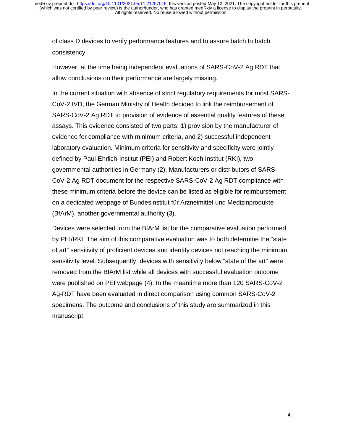of class D devices to verify performance features and to assure batch to batch consistency.

However, at the time being independent evaluations of SARS-CoV-2 Ag RDT that allow conclusions on their performance are largely missing.

In the current situation with absence of strict regulatory requirements for most SARS-CoV-2 IVD, the German Ministry of Health decided to link the reimbursement of SARS-CoV-2 Ag RDT to provision of evidence of essential quality features of these assays. This evidence consisted of two parts: 1) provision by the manufacturer of evidence for compliance with minimum criteria, and 2) successful independent laboratory evaluation. Minimum criteria for sensitivity and specificity were jointly defined by Paul-Ehrlich-Institut (PEI) and Robert Koch Institut (RKI), two governmental authorities in Germany (2). Manufacturers or distributors of SARS-CoV-2 Ag RDT document for the respective SARS-CoV-2 Ag RDT compliance with these minimum criteria before the device can be listed as eligible for reimbursement on a dedicated webpage of Bundesinstitut für Arzneimittel und Medizinprodukte (BfArM), another governmental authority (3).

Devices were selected from the BfArM list for the comparative evaluation performed by PEI/RKI. The aim of this comparative evaluation was to both determine the "state of art" sensitivity of proficient devices and identify devices not reaching the minimum sensitivity level. Subsequently, devices with sensitivity below "state of the art" were removed from the BfArM list while all devices with successful evaluation outcome were published on PEI webpage (4). In the meantime more than 120 SARS-CoV-2 Ag-RDT have been evaluated in direct comparison using common SARS-CoV-2 specimens. The outcome and conclusions of this study are summarized in this manuscript.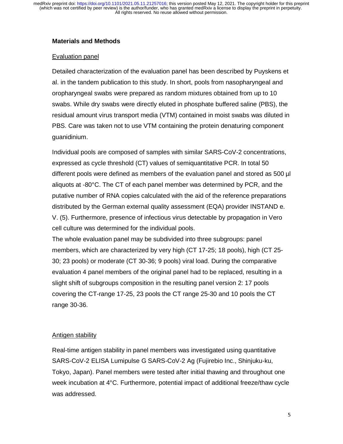## **Materials and Methods**

## Evaluation panel

Detailed characterization of the evaluation panel has been described by Puyskens et al. in the tandem publication to this study. In short, pools from nasopharyngeal and oropharyngeal swabs were prepared as random mixtures obtained from up to 10 swabs. While dry swabs were directly eluted in phosphate buffered saline (PBS), the residual amount virus transport media (VTM) contained in moist swabs was diluted in PBS. Care was taken not to use VTM containing the protein denaturing component guanidinium.

Individual pools are composed of samples with similar SARS-CoV-2 concentrations, expressed as cycle threshold (CT) values of semiquantitative PCR. In total 50 different pools were defined as members of the evaluation panel and stored as 500 µl aliquots at -80°C. The CT of each panel member was determined by PCR, and the putative number of RNA copies calculated with the aid of the reference preparations distributed by the German external quality assessment (EQA) provider INSTAND e. V. (5). Furthermore, presence of infectious virus detectable by propagation in Vero cell culture was determined for the individual pools.

The whole evaluation panel may be subdivided into three subgroups: panel members, which are characterized by very high (CT 17-25; 18 pools), high (CT 25- 30; 23 pools) or moderate (CT 30-36; 9 pools) viral load. During the comparative evaluation 4 panel members of the original panel had to be replaced, resulting in a slight shift of subgroups composition in the resulting panel version 2: 17 pools covering the CT-range 17-25, 23 pools the CT range 25-30 and 10 pools the CT range 30-36.

## Antigen stability

Real-time antigen stability in panel members was investigated using quantitative SARS-CoV-2 ELISA Lumipulse G SARS-CoV-2 Ag (Fujirebio Inc., Shinjuku-ku, Tokyo, Japan). Panel members were tested after initial thawing and throughout one week incubation at 4°C. Furthermore, potential impact of additional freeze/thaw cycle was addressed.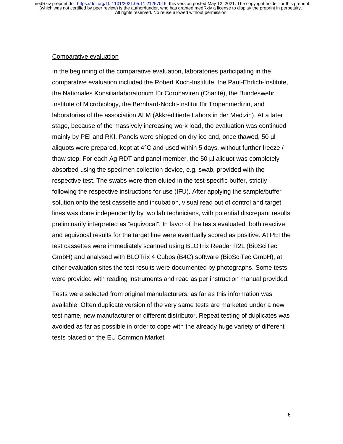#### Comparative evaluation

In the beginning of the comparative evaluation, laboratories participating in the comparative evaluation included the Robert Koch-Institute, the Paul-Ehrlich-Institute, the Nationales Konsiliarlaboratorium für Coronaviren (Charité), the Bundeswehr Institute of Microbiology, the Bernhard-Nocht-Institut für Tropenmedizin, and laboratories of the association ALM (Akkreditierte Labors in der Medizin). At a later stage, because of the massively increasing work load, the evaluation was continued mainly by PEI and RKI. Panels were shipped on dry ice and, once thawed, 50 µl aliquots were prepared, kept at 4°C and used within 5 days, without further freeze / thaw step. For each Ag RDT and panel member, the 50 µl aliquot was completely absorbed using the specimen collection device, e.g. swab, provided with the respective test. The swabs were then eluted in the test-specific buffer, strictly following the respective instructions for use (IFU). After applying the sample/buffer solution onto the test cassette and incubation, visual read out of control and target lines was done independently by two lab technicians, with potential discrepant results preliminarily interpreted as "equivocal". In favor of the tests evaluated, both reactive and equivocal results for the target line were eventually scored as positive. At PEI the test cassettes were immediately scanned using BLOTrix Reader R2L (BioSciTec GmbH) and analysed with BLOTrix 4 Cubos (B4C) software (BioSciTec GmbH), at other evaluation sites the test results were documented by photographs. Some tests were provided with reading instruments and read as per instruction manual provided.

Tests were selected from original manufacturers, as far as this information was available. Often duplicate version of the very same tests are marketed under a new test name, new manufacturer or different distributor. Repeat testing of duplicates was avoided as far as possible in order to cope with the already huge variety of different tests placed on the EU Common Market.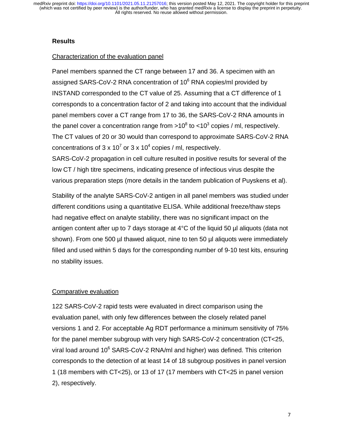## **Results**

## Characterization of the evaluation panel

Panel members spanned the CT range between 17 and 36. A specimen with an assigned SARS-CoV-2 RNA concentration of 10<sup>6</sup> RNA copies/ml provided by INSTAND corresponded to the CT value of 25. Assuming that a CT difference of 1 corresponds to a concentration factor of 2 and taking into account that the individual panel members cover a CT range from 17 to 36, the SARS-CoV-2 RNA amounts in the panel cover a concentration range from >10<sup>8</sup> to <10<sup>3</sup> copies / ml, respectively. The CT values of 20 or 30 would than correspond to approximate SARS-CoV-2 RNA concentrations of 3 x 10<sup>7</sup> or 3 x 10<sup>4</sup> copies / ml, respectively.

SARS-CoV-2 propagation in cell culture resulted in positive results for several of the low CT / high titre specimens, indicating presence of infectious virus despite the various preparation steps (more details in the tandem publication of Puyskens et al).

Stability of the analyte SARS-CoV-2 antigen in all panel members was studied under different conditions using a quantitative ELISA. While additional freeze/thaw steps had negative effect on analyte stability, there was no significant impact on the antigen content after up to 7 days storage at 4°C of the liquid 50 µl aliquots (data not shown). From one 500 µl thawed aliquot, nine to ten 50 µl aliquots were immediately filled and used within 5 days for the corresponding number of 9-10 test kits, ensuring no stability issues.

## Comparative evaluation

122 SARS-CoV-2 rapid tests were evaluated in direct comparison using the evaluation panel, with only few differences between the closely related panel versions 1 and 2. For acceptable Ag RDT performance a minimum sensitivity of 75% for the panel member subgroup with very high SARS-CoV-2 concentration (CT<25, viral load around 10 $^6$  SARS-CoV-2 RNA/ml and higher) was defined. This criterion corresponds to the detection of at least 14 of 18 subgroup positives in panel version 1 (18 members with CT<25), or 13 of 17 (17 members with CT<25 in panel version 2), respectively.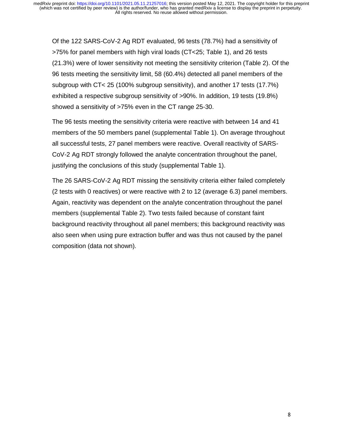Of the 122 SARS-CoV-2 Ag RDT evaluated, 96 tests (78.7%) had a sensitivity of >75% for panel members with high viral loads (CT<25; Table 1), and 26 tests (21.3%) were of lower sensitivity not meeting the sensitivity criterion (Table 2). Of the 96 tests meeting the sensitivity limit, 58 (60.4%) detected all panel members of the subgroup with CT< 25 (100% subgroup sensitivity), and another 17 tests (17.7%) exhibited a respective subgroup sensitivity of >90%. In addition, 19 tests (19.8%) showed a sensitivity of >75% even in the CT range 25-30.

The 96 tests meeting the sensitivity criteria were reactive with between 14 and 41 members of the 50 members panel (supplemental Table 1). On average throughout all successful tests, 27 panel members were reactive. Overall reactivity of SARS-CoV-2 Ag RDT strongly followed the analyte concentration throughout the panel, justifying the conclusions of this study (supplemental Table 1).

The 26 SARS-CoV-2 Ag RDT missing the sensitivity criteria either failed completely (2 tests with 0 reactives) or were reactive with 2 to 12 (average 6.3) panel members. Again, reactivity was dependent on the analyte concentration throughout the panel members (supplemental Table 2). Two tests failed because of constant faint background reactivity throughout all panel members; this background reactivity was also seen when using pure extraction buffer and was thus not caused by the panel composition (data not shown).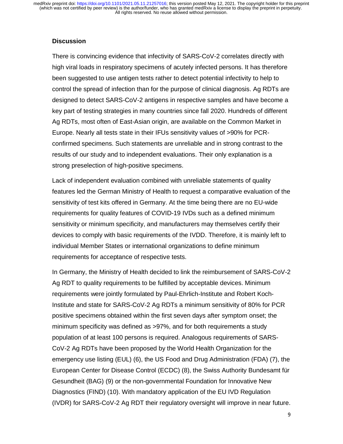## **Discussion**

There is convincing evidence that infectivity of SARS-CoV-2 correlates directly with high viral loads in respiratory specimens of acutely infected persons. It has therefore been suggested to use antigen tests rather to detect potential infectivity to help to control the spread of infection than for the purpose of clinical diagnosis. Ag RDTs are designed to detect SARS-CoV-2 antigens in respective samples and have become a key part of testing strategies in many countries since fall 2020. Hundreds of different Ag RDTs, most often of East-Asian origin, are available on the Common Market in Europe. Nearly all tests state in their IFUs sensitivity values of >90% for PCRconfirmed specimens. Such statements are unreliable and in strong contrast to the results of our study and to independent evaluations. Their only explanation is a strong preselection of high-positive specimens.

Lack of independent evaluation combined with unreliable statements of quality features led the German Ministry of Health to request a comparative evaluation of the sensitivity of test kits offered in Germany. At the time being there are no EU-wide requirements for quality features of COVID-19 IVDs such as a defined minimum sensitivity or minimum specificity, and manufacturers may themselves certify their devices to comply with basic requirements of the IVDD. Therefore, it is mainly left to individual Member States or international organizations to define minimum requirements for acceptance of respective tests.

In Germany, the Ministry of Health decided to link the reimbursement of SARS-CoV-2 Ag RDT to quality requirements to be fulfilled by acceptable devices. Minimum requirements were jointly formulated by Paul-Ehrlich-Institute and Robert Koch-Institute and state for SARS-CoV-2 Ag RDTs a minimum sensitivity of 80% for PCR positive specimens obtained within the first seven days after symptom onset; the minimum specificity was defined as >97%, and for both requirements a study population of at least 100 persons is required. Analogous requirements of SARS-CoV-2 Ag RDTs have been proposed by the World Health Organization for the emergency use listing (EUL) (6), the US Food and Drug Administration (FDA) (7), the European Center for Disease Control (ECDC) (8), the Swiss Authority Bundesamt für Gesundheit (BAG) (9) or the non-governmental Foundation for Innovative New Diagnostics (FIND) (10). With mandatory application of the EU IVD Regulation (IVDR) for SARS-CoV-2 Ag RDT their regulatory oversight will improve in near future.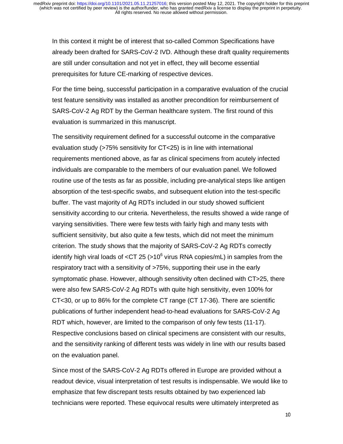In this context it might be of interest that so-called Common Specifications have already been drafted for SARS-CoV-2 IVD. Although these draft quality requirements are still under consultation and not yet in effect, they will become essential prerequisites for future CE-marking of respective devices.

For the time being, successful participation in a comparative evaluation of the crucial test feature sensitivity was installed as another precondition for reimbursement of SARS-CoV-2 Ag RDT by the German healthcare system. The first round of this evaluation is summarized in this manuscript.

The sensitivity requirement defined for a successful outcome in the comparative evaluation study (>75% sensitivity for CT<25) is in line with international requirements mentioned above, as far as clinical specimens from acutely infected individuals are comparable to the members of our evaluation panel. We followed routine use of the tests as far as possible, including pre-analytical steps like antigen absorption of the test-specific swabs, and subsequent elution into the test-specific buffer. The vast majority of Ag RDTs included in our study showed sufficient sensitivity according to our criteria. Nevertheless, the results showed a wide range of varying sensitivities. There were few tests with fairly high and many tests with sufficient sensitivity, but also quite a few tests, which did not meet the minimum criterion. The study shows that the majority of SARS-CoV-2 Ag RDTs correctly identify high viral loads of <CT 25 (>10<sup>6</sup> virus RNA copies/mL) in samples from the respiratory tract with a sensitivity of >75%, supporting their use in the early symptomatic phase. However, although sensitivity often declined with CT>25, there were also few SARS-CoV-2 Ag RDTs with quite high sensitivity, even 100% for CT<30, or up to 86% for the complete CT range (CT 17-36). There are scientific publications of further independent head-to-head evaluations for SARS-CoV-2 Ag RDT which, however, are limited to the comparison of only few tests (11-17). Respective conclusions based on clinical specimens are consistent with our results, and the sensitivity ranking of different tests was widely in line with our results based on the evaluation panel.

Since most of the SARS-CoV-2 Ag RDTs offered in Europe are provided without a readout device, visual interpretation of test results is indispensable. We would like to emphasize that few discrepant tests results obtained by two experienced lab technicians were reported. These equivocal results were ultimately interpreted as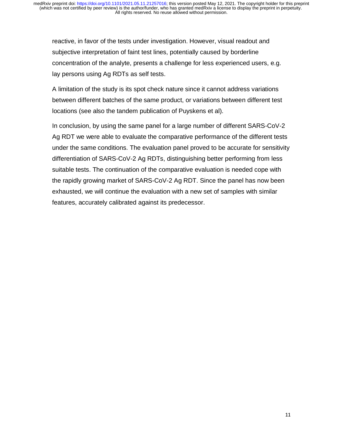reactive, in favor of the tests under investigation. However, visual readout and subjective interpretation of faint test lines, potentially caused by borderline concentration of the analyte, presents a challenge for less experienced users, e.g. lay persons using Ag RDTs as self tests.

A limitation of the study is its spot check nature since it cannot address variations between different batches of the same product, or variations between different test locations (see also the tandem publication of Puyskens et al).

In conclusion, by using the same panel for a large number of different SARS-CoV-2 Ag RDT we were able to evaluate the comparative performance of the different tests under the same conditions. The evaluation panel proved to be accurate for sensitivity differentiation of SARS-CoV-2 Ag RDTs, distinguishing better performing from less suitable tests. The continuation of the comparative evaluation is needed cope with the rapidly growing market of SARS-CoV-2 Ag RDT. Since the panel has now been exhausted, we will continue the evaluation with a new set of samples with similar features, accurately calibrated against its predecessor.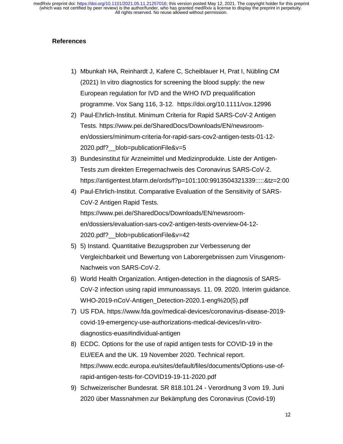## **References**

- 1) Mbunkah HA, Reinhardt J, Kafere C, Scheiblauer H, Prat I, Nübling CM (2021) In vitro diagnostics for screening the blood supply: the new European regulation for IVD and the WHO IVD prequalification programme. Vox Sang 116, 3-12. https://doi.org/10.1111/vox.12996
- 2) Paul-Ehrlich-Institut. Minimum Criteria for Rapid SARS-CoV-2 Antigen Tests. https://www.pei.de/SharedDocs/Downloads/EN/newsroomen/dossiers/minimum-criteria-for-rapid-sars-cov2-antigen-tests-01-12- 2020.pdf?\_\_blob=publicationFile&v=5
- 3) Bundesinstitut für Arzneimittel und Medizinprodukte. Liste der Antigen-Tests zum direkten Erregernachweis des Coronavirus SARS-CoV-2. https://antigentest.bfarm.de/ords/f?p=101:100:9913504321339:::::&tz=2:00
- 4) Paul-Ehrlich-Institut. Comparative Evaluation of the Sensitivity of SARS-CoV-2 Antigen Rapid Tests. https://www.pei.de/SharedDocs/Downloads/EN/newsroomen/dossiers/evaluation-sars-cov2-antigen-tests-overview-04-12- 2020.pdf? blob=publicationFile&v=42
- 5) 5) Instand. Quantitative Bezugsproben zur Verbesserung der Vergleichbarkeit und Bewertung von Laborergebnissen zum Virusgenom-Nachweis von SARS-CoV-2.
- 6) World Health Organization. Antigen-detection in the diagnosis of SARS-CoV-2 infection using rapid immunoassays. 11. 09. 2020. Interim guidance. WHO-2019-nCoV-Antigen\_Detection-2020.1-eng%20(5).pdf
- 7) US FDA. https://www.fda.gov/medical-devices/coronavirus-disease-2019 covid-19-emergency-use-authorizations-medical-devices/in-vitrodiagnostics-euas#individual-antigen
- 8) ECDC. Options for the use of rapid antigen tests for COVID-19 in the EU/EEA and the UK. 19 November 2020. Technical report. https://www.ecdc.europa.eu/sites/default/files/documents/Options-use-ofrapid-antigen-tests-for-COVID19-19-11-2020.pdf
- 9) Schweizerischer Bundesrat. SR 818.101.24 Verordnung 3 vom 19. Juni 2020 über Massnahmen zur Bekämpfung des Coronavirus (Covid-19)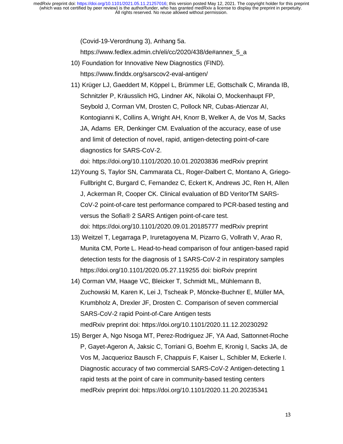(Covid-19-Verordnung 3), Anhang 5a.

https://www.fedlex.admin.ch/eli/cc/2020/438/de#annex\_5\_a

- 10) Foundation for Innovative New Diagnostics (FIND). https://www.finddx.org/sarscov2-eval-antigen/
- 11) Krüger LJ, Gaeddert M, Köppel L, Brümmer LE, Gottschalk C, Miranda IB, Schnitzler P, Kräusslich HG, Lindner AK, Nikolai O, Mockenhaupt FP, Seybold J, Corman VM, Drosten C, Pollock NR, Cubas-Atienzar AI, Kontogianni K, Collins A, Wright AH, Knorr B, Welker A, de Vos M, Sacks JA, Adams ER, Denkinger CM. Evaluation of the accuracy, ease of use and limit of detection of novel, rapid, antigen-detecting point-of-care diagnostics for SARS-CoV-2.

doi: https://doi.org/10.1101/2020.10.01.20203836 medRxiv preprint

- 12) Young S, Taylor SN, Cammarata CL, Roger-Dalbert C, Montano A, Griego-Fullbright C, Burgard C, Fernandez C, Eckert K, Andrews JC, Ren H, Allen J, Ackerman R, Cooper CK. Clinical evaluation of BD VeritorTM SARS-CoV-2 point-of-care test performance compared to PCR-based testing and versus the Sofia® 2 SARS Antigen point-of-care test. doi: https://doi.org/10.1101/2020.09.01.20185777 medRxiv preprint
- 13) Weitzel T, Legarraga P, Iruretagoyena M, Pizarro G, Vollrath V, Arao R, Munita CM, Porte L. Head-to-head comparison of four antigen-based rapid detection tests for the diagnosis of 1 SARS-CoV-2 in respiratory samples https://doi.org/10.1101/2020.05.27.119255 doi: bioRxiv preprint
- 14) Corman VM, Haage VC, Bleicker T, Schmidt ML, Mühlemann B, Zuchowski M, Karen K, Lei J, Tscheak P, Möncke-Buchner E, Müller MA, Krumbholz A, Drexler JF, Drosten C. Comparison of seven commercial SARS-CoV-2 rapid Point-of-Care Antigen tests medRxiv preprint doi: https://doi.org/10.1101/2020.11.12.20230292
- 15) Berger A, Ngo Nsoga MT, Perez-Rodriguez JF, YA Aad, Sattonnet-Roche P, Gayet-Ageron A, Jaksic C, Torriani G, Boehm E, Kronig I, Sacks JA, de Vos M, Jacquerioz Bausch F, Chappuis F, Kaiser L, Schibler M, Eckerle I. Diagnostic accuracy of two commercial SARS-CoV-2 Antigen-detecting 1 rapid tests at the point of care in community-based testing centers medRxiv preprint doi: https://doi.org/10.1101/2020.11.20.20235341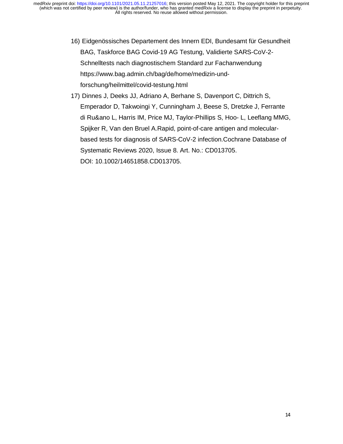- 16) Eidgenössisches Departement des Innern EDI, Bundesamt für Gesundheit BAG, Taskforce BAG Covid-19 AG Testung, Validierte SARS-CoV-2- Schnelltests nach diagnostischem Standard zur Fachanwendung https://www.bag.admin.ch/bag/de/home/medizin-undforschung/heilmittel/covid-testung.html
- 17) Dinnes J, Deeks JJ, Adriano A, Berhane S, Davenport C, Dittrich S, Emperador D, Takwoingi Y, Cunningham J, Beese S, Dretzke J, Ferrante di Ru&ano L, Harris IM, Price MJ, Taylor-Phillips S, Hoo- L, Leeflang MMG, Spijker R, Van den Bruel A.Rapid, point-of-care antigen and molecularbased tests for diagnosis of SARS-CoV-2 infection.Cochrane Database of Systematic Reviews 2020, Issue 8. Art. No.: CD013705. DOI: 10.1002/14651858.CD013705.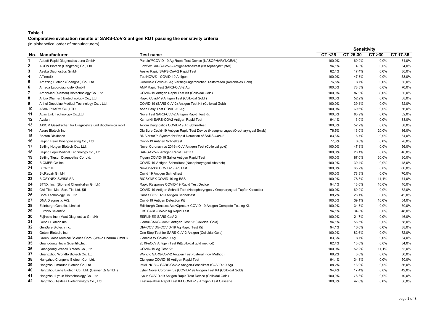### Table 1

### Comparative evaluation results of SARS-CoV-2 antigen RDT passing the sensitivity criteria

(in alphabetical order of manufacturers)

|                |                                                       |                                                                                 |         | <b>Sensitivity</b> |         |          |
|----------------|-------------------------------------------------------|---------------------------------------------------------------------------------|---------|--------------------|---------|----------|
|                | No. Manufacturer                                      | <b>Test name</b>                                                                | CT < 25 | CT 25-30           | CT > 30 | CT 17-36 |
| 1              | Abbott Rapid Diagnostics Jena GmbH                    | Panbio™COVID-19 Ag Rapid Test Device (NASOPHARYNGEAL)                           | 100,0%  | 60,9%              | 0,0%    | 64,0%    |
| $\mathbf{2}$   | ACON Biotech (Hangzhou) Co., Ltd                      | Flowflex SARS-CoV-2-Antigenschnelltest (Nasopharynxtupfer)                      | 94,1%   | 4,3%               | 0,0%    | 34,0%    |
| 3              | Aesku Diagnostics GmbH                                | Aesku Rapid SARS-CoV-2 Rapid Test                                               | 82,4%   | 17,4%              | 0,0%    | 36,0%    |
| 4              | Affimedix                                             | TestNOW <sup>®</sup> - COVID-19 Antigen                                         | 100,0%  | 47,8%              | $0.0\%$ | 58,0%    |
| 5              | Amazing Biotech (Shanghai) Co., Ltd                   | CoroVisio Covid-19 Ag Versieglungsröhrchen Teststreifen (Kolloidales Gold)      | 76,5%   | 8,7%               | 0,0%    | 30,0%    |
| 6              | Ameda Labordiagnostik GmbH                            | AMP Rapid Test SARS-CoV-2 Ag                                                    | 100,0%  | 78,3%              | 0,0%    | 70,0%    |
| $\overline{7}$ | AmonMed (Xiamen) Biotechnology Co., Ltd.              | COVID-19 Antigen Rapid Test Kit (Colloidal Gold)                                | 100,0%  | 87,0%              | 30,0%   | 80,0%    |
| 8              | Anbio (Xiamen) Biotechnology Co., Ltd                 | Rapid Covid-19 Antigen Test (Colloidal Gold)                                    | 100,0%  | 52,2%              | 0,0%    | 58,0%    |
| 9              | Anhui Deepblue Medical Technology Co., Ltd.           | COVID-19 (SARS CoV-2) Antigen Test Kit (Colloidal Gold)                         | 100,0%  | 39,1%              | $0.0\%$ | 52,0%    |
| 10             | ASAN PHARM.CO.,LTD.                                   | Asan Easy Test COVID-19 Ag                                                      | 100,0%  | 69,6%              | 0,0%    | 66,0%    |
| 11             | Atlas Link Technology Co., Ltd.                       | Nova Test SARS-CoV-2 Antigen Rapid Test Kit                                     | 100,0%  | 60,9%              | 0,0%    | 62,0%    |
| 12             | Avalun                                                | Ksmart® SARS-COV2 Antigen Rapid Test                                            | 94,1%   | 13,0%              | 0,0%    | 38,0%    |
| 13             | AXIOM Gesellschaft für Diagnostica und Biochemica mbH | Axiom Diagnostics COVID-19 Ag Schnelltest                                       | 100,0%  | 52,2%              | 0,0%    | 58,0%    |
| 14             | Azure Biotech Inc.                                    | Dia Sure Covid-19 Antigen Rapid Test Device (Nasopharyngeal/Oropharyngeal Swab) | 76,5%   | 13,0%              | 20,0%   | 36,0%    |
| 15             | <b>Becton Dickinson</b>                               | BD Veritor™ System for Rapid Detection of SARS-CoV-2                            | 83,3%   | 8,7%               | 0,0%    | 34,0%    |
| 16             | Beijing Beier Bioengineering Co., Ltd.                | Covid-19 Antigen Schnelltest                                                    | 77,8%   | 0,0%               | 0,0%    | 28,0%    |
| 17             | Beijing Hotgen Biotech Co., Ltd.                      | Novel Coronavirus 2019-nCoV Antigen Test (Colloidal gold)                       | 100,0%  | 47,8%              | 0,0%    | 56,0%    |
| 18             | Beijing Lepu Medical Technology Co., Ltd              | SARS-CoV-2 Antigen Rapid Test Kit                                               | 100,0%  | 26,1%              | 0,0%    | 46,0%    |
| 19             | Beijing Tigsun Diagnostics Co.; Ltd.                  | Tigsun COVID-19 Saliva Antigen Rapid Test                                       | 100,0%  | 87,0%              | 30,0%   | 80,0%    |
| 20             | <b>BIOMERICA Inc.</b>                                 | COVID-19-Antigen-Schnelltest (Nasopharyngeal-Abstrich)                          | 100,0%  | 30,4%              | 0,0%    | 48,0%    |
| 21             | <b>BIONOTE</b>                                        | NowCheck® COVID-19 Ag Test                                                      | 100,0%  | 65,2%              | 0,0%    | 66,0%    |
| 22             | <b>BioRepair GmbH</b>                                 | Covid 19 Antigen Schnelltest                                                    | 100,0%  | 78,3%              | 0,0%    | 70,0%    |
| 23             | <b>BIOSYNEX SWISS SA</b>                              | BIOSYNEX COVID-19 Ag BSS                                                        | 100,0%  | 78,3%              | 11,1%   | 74,0%    |
| 24             | BTNX, Inc. (Biotrend Chemikalien Gmbh)                | Rapid Response COVID-19 Rapid Test Device                                       | 94,1%   | 13,0%              | 10,0%   | 40,0%    |
| 25             | Chil Tibbi Mal. San. Tic. Ltd. Şti                    | COVID-19 Antigen Schnell Test (Nasopharyngeal / Oropharyngeal Tupfer Kassette)  | 100,0%  | 60,9%              | 0.0%    | 62,0%    |
| 26             | Core Technology Co., Ltd.                             | Canea COVID-19 Antigen Schnelltest                                              | 88,2%   | 26,1%              | 0,0%    | 42,0%    |
| 27             | DNA Diagnostic A/S.                                   | Covid-19 Antigen Detection Kit                                                  | 100,0%  | 39,1%              | 10,0%   | 54,0%    |
| 28             | <b>Edinburgh Genetics Limited</b>                     | Edinburgh Genetics ActivXpress+ COVID-19 Antigen Complete Testing Kit           | 100,0%  | 34,8%              | 0,0%    | 50,0%    |
| 29             | Eurobio Scientific                                    | EBS SARS-CoV-2 Ag Rapid Test                                                    | 94,1%   | 34,8%              | 0,0%    | 48,0%    |
| 30             | Fujirebio Inc. (Mast Diagnostica GmbH)                | ESPLINE® SARS-CoV-2                                                             | 100,0%  | 21,7%              | 0,0%    | 46,0%    |
| 31             | Genrui Biotech Inc.                                   | Genrui SARS-CoV-2 Antigen Test Kit (Colloidal Gold)                             | 94,1%   | 56,5%              | 0,0%    | 58,0%    |
| 32             | GenSure Biotech Inc.                                  | DIA-COVID® COVID-19 Ag Rapid Test Kit                                           | 94,1%   | 13,0%              | 0,0%    | 38,0%    |
| 33             | Getein Biotech, Inc.                                  | One Step Test for SARS-CoV-2 Antigen (Colloidal Gold)                           | 100,0%  | 82,6%              | 0,0%    | 72,0%    |
| 34             | Green Cross Medical Science Corp. (Weko Pharma GmbH)  | Genedia W Covid-19 Ag                                                           | 83,3%   | 8,7%               | $0.0\%$ | 34,0%    |
| 35             | Guangdong Hecin Scientific, Inc.                      | 2019-nCoV Antigen Test Kit(colloidal gold method)                               | 82,4%   | 13,0%              | 0,0%    | 34,0%    |
| 36             | Guangdong Wesail Biotech Co., Ltd.                    | COVID-19 Ag Test Kit                                                            | 100,0%  | 52,2%              | 11,1%   | 62,0%    |
| 37             | Guangzhou Wondfo Biotech Co. Ltd                      | Wondfo SARS-CoV-2 Antigen Test (Lateral Flow Method)                            | 88,2%   | 0,0%               | 0,0%    | 30,0%    |
| 38             | Hangzhou Clongene Biotech Co., Ltd.                   | Clungene COVID-19 Antigen Rapid Test                                            | 94,4%   | 34,8%              | 0,0%    | 50,0%    |
| 39             | Hangzhou Immuno Biotech Co., Ltd.                     | IMMUNOBIO SARS-CoV-2 Antigen-Schnelltest (COVID-19 Ag)                          | 88,2%   | 13,0%              | $0.0\%$ | 36,0%    |
| 40             | Hangzhou Laihe Biotech Co., Ltd. (Lissner Qi GmbH)    | Lyher Novel Coronavirus (COVID-19) Antigen Test Kit (Colloidal Gold)            | 94,4%   | 17,4%              | 0,0%    | 42,0%    |
| 41             | Hangzhou Lysun Biotechnology Co., Ltd.                | Lysun COVID-19 Antigen Rapid Test Device (Colloidal Gold)                       | 100,0%  | 78,3%              | 0.0%    | 70,0%    |
| 42             | Hangzhou Testsea Biotechnology Co., Ltd               | Testsealabs® Rapid Test Kit COVID-19 Antigen Test Cassette                      | 100.0%  | 47.8%              | 0.0%    | 56.0%    |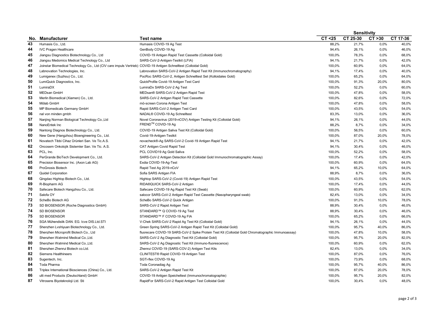|     |                                                                                                                  |                                                                                                    |         |          | <b>Sensitivity</b> |          |  |
|-----|------------------------------------------------------------------------------------------------------------------|----------------------------------------------------------------------------------------------------|---------|----------|--------------------|----------|--|
| No. | <b>Manufacturer</b>                                                                                              | <b>Test name</b>                                                                                   | CT < 25 | CT 25-30 | CT > 30            | CT 17-36 |  |
| 43  | Humasis Co., Ltd.                                                                                                | Humasis COVID-19 Ag Test                                                                           | 88,2%   | 21,7%    | 0,0%               | 40,0%    |  |
| 44  | <b>IVC Pragen Healthcare</b>                                                                                     | GenBody COVID-19 Ag                                                                                | 94,4%   | 26,1%    | 0,0%               | 46,0%    |  |
| 45  | Jiangsu Diagnostics Biotechnology Co., Ltd                                                                       | COVID-19 Antigen Rapid Test Cassette (Colloidal Gold)                                              | 100.0%  | 78.3%    | 0.0%               | 68.0%    |  |
| 46  | Jiangsu Medomics Medical Technology Co., Ltd                                                                     | SARS-CoV-2-Antigen-Testkit (LFIA)                                                                  | 94.1%   | 21,7%    | 0.0%               | 42.0%    |  |
| 47  | Joinstar Biomedical Technology Co., Ltd (CIV care impuls Vertrieb) COVID-19 Antigen Schnelltest (Colloidal Gold) |                                                                                                    | 100,0%  | 60,9%    | 0,0%               | 64,0%    |  |
| 48  | Labnovation Technologies, Inc.                                                                                   | Labnovation SARS-CoV-2 Antigen Rapid Test Kit (Immunochromatography)                               | 94,1%   | 17,4%    | 0,0%               | 40,0%    |  |
| 49  | Lumigenex (Suzhou) Co., Ltd.                                                                                     | PocRoc SARS-CoV-2, Antigen Schnelltest Set (Kolloidales Gold)                                      | 100,0%  | 65,2%    | 0,0%               | 64,0%    |  |
| 50  | LumiQuick Diagnostics, Inc.                                                                                      | QuickProfile Covid-19 Antigen Test Card                                                            | 100,0%  | 91,3%    | 20,0%              | 80,0%    |  |
| 51  | LumiraDX                                                                                                         | LumiraDx SARS-CoV-2 Ag Test                                                                        | 100,0%  | 52,2%    | 0,0%               | 60,0%    |  |
| 52  | <b>MEDsan GmbH</b>                                                                                               | MEDsan® SARS-CoV-2 Antigen Rapid Test                                                              | 100,0%  | 47,8%    | 0.0%               | 58,0%    |  |
| 53  | Merlin Biomedical (Xiamen) Co., Ltd.                                                                             | SARS-CoV-2 Antigen Rapid Test Cassette                                                             | 100,0%  | 82,6%    | 0,0%               | 72,0%    |  |
| 54  | Mölab GmbH                                                                                                       | mö-screen Corona Antigen Test                                                                      | 100,0%  | 47,8%    | 0,0%               | 58,0%    |  |
| 55  | MP Biomedicals Germany GmbH                                                                                      | Rapid SARS-CoV-2 Antigen Test Card                                                                 | 100,0%  | 43,5%    | 0.0%               | 54,0%    |  |
| 56  | nal von minden gmbh                                                                                              | NADAL® COVID-19 Ag Schnelltest                                                                     | 83,3%   | 13,0%    | 0,0%               | 36,0%    |  |
| 57  | Nanjing Norman Biological Technology Co., Ltd                                                                    | Novel Coronavirus (2019-nCOV) Antigen Testing Kit (Colloidal Gold)                                 | 94,1%   | 26,1%    | 0,0%               | 44,0%    |  |
| 58  | NanoEntek Inc                                                                                                    | FREND™ COVID-19 Ag                                                                                 | 88,2%   | 8,7%     | 0,0%               | 34,0%    |  |
| 59  | Nantong Diagnos Biotechnology Co., Ltd.                                                                          | COVID-19 Antigen Saliva Test Kit (Colloidal Gold)                                                  | 100,0%  | 56,5%    | 0.0%               | 60,0%    |  |
| 60  | New Gene (Hangzhou) Bioengineering Co., Ltd.                                                                     | Covid-19-Antigen-Testkit                                                                           | 100,0%  | 87,0%    | 20,0%              | 78,0%    |  |
| 61  | Novatech Tibbi Cihaz Ürünleri San. Ve Tic.A.S.                                                                   | novacheck®-Ag SARS-CoV-2 Covid-19 Antigen Rapid Test                                               | 94,1%   | 21,7%    | 0.0%               | 42.0%    |  |
| 62  | Oncosem Onkolojik Sistemler San. Ve Tic. A.S.                                                                    | CAT Antigen Covid Rapid Test                                                                       | 94,1%   | 30,4%    | 0.0%               | 46,0%    |  |
| 63  | PCL, Inc.                                                                                                        | PCL COVID19 Ag Gold Saliva                                                                         | 100,0%  | 52,2%    | 0,0%               | 58,0%    |  |
| 64  | PerGrande BioTech Development Co., Ltd.                                                                          | SARS-CoV-2 Antigen Detection Kit (Colloidal Gold Immunochromatographic Assay)                      | 100.0%  | 17,4%    | 0.0%               | 42.0%    |  |
| 65  | Precision Biosensor Inc. (Axon Lab AG)                                                                           | Exdia COVID-19-Ag-Test                                                                             | 100,0%  | 60,9%    | 0.0%               | 64,0%    |  |
| 66  | ProGnosis Biotech                                                                                                | Rapid Test Ag 2019-nCoV                                                                            | 94,1%   | 65,2%    | 10,0%              | 64,0%    |  |
| 67  | <b>Quidel Corporation</b>                                                                                        | Sofia SARS Antigen FIA                                                                             | 88,9%   | 8,7%     | 0,0%               | 36,0%    |  |
| 68  | Qingdao Hightop Biotech Co., Ltd.                                                                                | Hightop SARS-CoV-2 (Covid-19) Antigen Rapid Test                                                   | 100,0%  | 43,5%    | 0,0%               | 54,0%    |  |
| 69  | R-Biopharm AG                                                                                                    | RIDA®QUICK SARS-CoV-2 Antigen                                                                      | 100,0%  | 17,4%    | 0,0%               | 44,0%    |  |
| 70  | Safecare Biotech Hangzhou Co., Ltd.                                                                              | Safecare COVID-19 Ag Rapid Test Kit (Swab)                                                         | 100,0%  | 60,9%    | 0,0%               | 62,0%    |  |
| 71  | Salofa OY                                                                                                        | salocor SARS-CoV-2 Antigen Rapid Test Cassette (Nasopharyngeal swab)                               | 82,4%   | 13,0%    | 0.0%               | 34,0%    |  |
| 72  | ScheBo Biotech AG                                                                                                | ScheBo SARS-CoV-2 Quick Antigen                                                                    | 100,0%  | 91,3%    | 10,0%              | 78,0%    |  |
| 73  | SD BIOSENSOR (Roche Diagnostics GmbH)                                                                            | SARS-CoV-2 Rapid Antigen Test                                                                      | 88,9%   | 30,4%    | 0,0%               | 46,0%    |  |
| 74  | SD BIOSENSOR                                                                                                     | STANDARD™ Q COVID-19 Ag Test                                                                       | 88,9%   | 30,4%    | 0.0%               | 46,0%    |  |
| 75  | <b>SD BIOSENSOR</b>                                                                                              | STANDARD™ F COVID-19 Ag FIA                                                                        | 100,0%  | 65,2%    | 0,0%               | 66,0%    |  |
| 76  | SGA Mühendislik DAN. EG. Icve DIS.Ltd.STI                                                                        | V-Chek SARS-CoV-2 Rapid Ag Test Kit (Colloidal Gold)                                               | 94,1%   | 26,1%    | 0.0%               | 44,0%    |  |
| 77  | Shenzhen Lvshiyuan Biotechnology Co., Ltd.                                                                       | Green Spring SARS-CoV-2 Antigen Rapid Test Kit (Colloidal Gold)                                    | 100.0%  | 95,7%    | 40.0%              | 86.0%    |  |
| 78  | Shenzhen Microprofit Biotech Co., Ltd                                                                            | fluorecare COVID-19 SARS-CoV-2 Spike Protein Test Kit (Colloidal Gold Chromatographic Immunoassay) | 100,0%  | 47,8%    | 10.0%              | 58.0%    |  |
| 79  | Shenzhen Watmind Medical Co., Ltd.                                                                               | SARS-CoV-2 Ag Diagnostic Test Kit (Colloidal Gold)                                                 | 100,0%  | 95,7%    | 20,0%              | 82,0%    |  |
| 80  | Shenzhen Watmind Medical Co., Ltd.                                                                               | SARS-CoV-2 Ag Diagnostic Test Kit (Immuno-fluorescence)                                            | 100,0%  | 60,9%    | 0,0%               | 62,0%    |  |
| 81  | Shenzhen Zhenrui Biotech co.Ltd.                                                                                 | Zhenrui COVID-19 (SARS-COV-2) Antigen Test Kits                                                    | 82,4%   | 13,0%    | 0.0%               | 34,0%    |  |
| 82  | Siemens Healthineers                                                                                             | CLINITEST® Rapid COVID-19 Antigen Test                                                             | 100,0%  | 87,0%    | 0,0%               | 76,0%    |  |
| 83  | Sugentech, Inc.                                                                                                  | SGTi-flex COVID-19 Ag                                                                              | 100,0%  | 73,9%    | 0,0%               | 68,0%    |  |
| 84  | Toda Pharma                                                                                                      | Toda Coronadiag Ag                                                                                 | 100,0%  | 95,7%    | 40,0%              | 86,0%    |  |
| 85  | Triplex International Biosciences (China) Co., Ltd.                                                              | SARS-CoV-2 Antigen Rapid Test Kit                                                                  | 100,0%  | 87,0%    | 20,0%              | 78,0%    |  |
| 86  | ulti med Products (Deutschland) GmbH                                                                             | COVID-19 Antigen Speicheltest (Immunochromatographie)                                              | 100,0%  | 95,7%    | 20,0%              | 82,0%    |  |
| 87  | Vitrosens Biyoteknoloji Ltd. Sti                                                                                 | RapidFor SARS-CoV-2 Rapid Antigen Test Colloidal Gold                                              | 100,0%  | 30,4%    | 0.0%               | 48,0%    |  |
|     |                                                                                                                  |                                                                                                    |         |          |                    |          |  |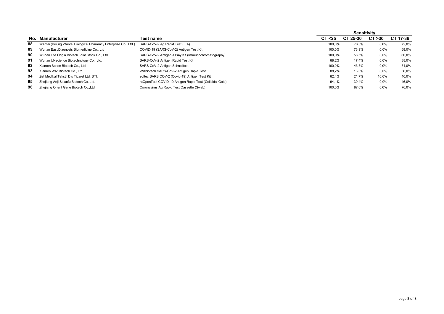|     |                                                                  |                                                         |         | Sensitivity |         |          |
|-----|------------------------------------------------------------------|---------------------------------------------------------|---------|-------------|---------|----------|
| No. | Manufacturer                                                     | Test name                                               | CT < 25 | CT 25-30    | CT > 30 | CT 17-36 |
| 88  | Wantai (Beijing Wantai Biological Pharmacy Enterprise Co., Ltd.) | SARS-CoV-2 Ag Rapid Test (FIA)                          | 100.0%  | 78,3%       | $0.0\%$ | 72,0%    |
| 89  | Wuhan EasyDiagnosis Biomedicine Co., Ltd                         | COVID-19 (SARS-CoV-2) Antigen Test Kit                  | 100.0%  | 73,9%       | $0.0\%$ | 68,0%    |
| 90  | Wuhan Life Origin Biotech Joint Stock Co., Ltd.                  | SARS-CoV-2 Antigen Assay Kit (Immunochromatography)     | 100,0%  | 56,5%       | 0,0%    | 60,0%    |
| 91  | Wuhan UNscience Biotechnology Co., Ltd.                          | SARS-CoV-2 Antigen Rapid Test Kit                       | 88.2%   | 17,4%       | $0.0\%$ | 38,0%    |
| 92  | Xiamen Boson Biotech Co., Ltd                                    | SARS-CoV-2 Antigen Schnelltest                          | 100,0%  | 43,5%       | $0.0\%$ | 54,0%    |
| 93  | Xiamen WIZ Biotech Co., Ltd.                                     | Wizbiotech SARS-CoV-2 Antigen Rapid Test                | 88,2%   | 13,0%       | $0.0\%$ | 36,0%    |
| 94  | Zet Medikal Tekstil Dis Ticaret Ltd. STI.                        | softec SARS COV-2 (Covid-19) Antigen Test Kit           | 82,4%   | 21,7%       | 10,0%   | 40,0%    |
| 95  | Zhejiang Anji Saianfu Biotech Co., Ltd.                          | reOpenTest COVID-19 Antigen Rapid Test (Colloidal Gold) | 94,1%   | 30,4%       | $0.0\%$ | 46,0%    |
| 96  | Zhejiang Orient Gene Biotech Co., Ltd                            | Coronavirus Ag Rapid Test Cassette (Swab)               | 100.0%  | 87,0%       | $0.0\%$ | 76.0%    |